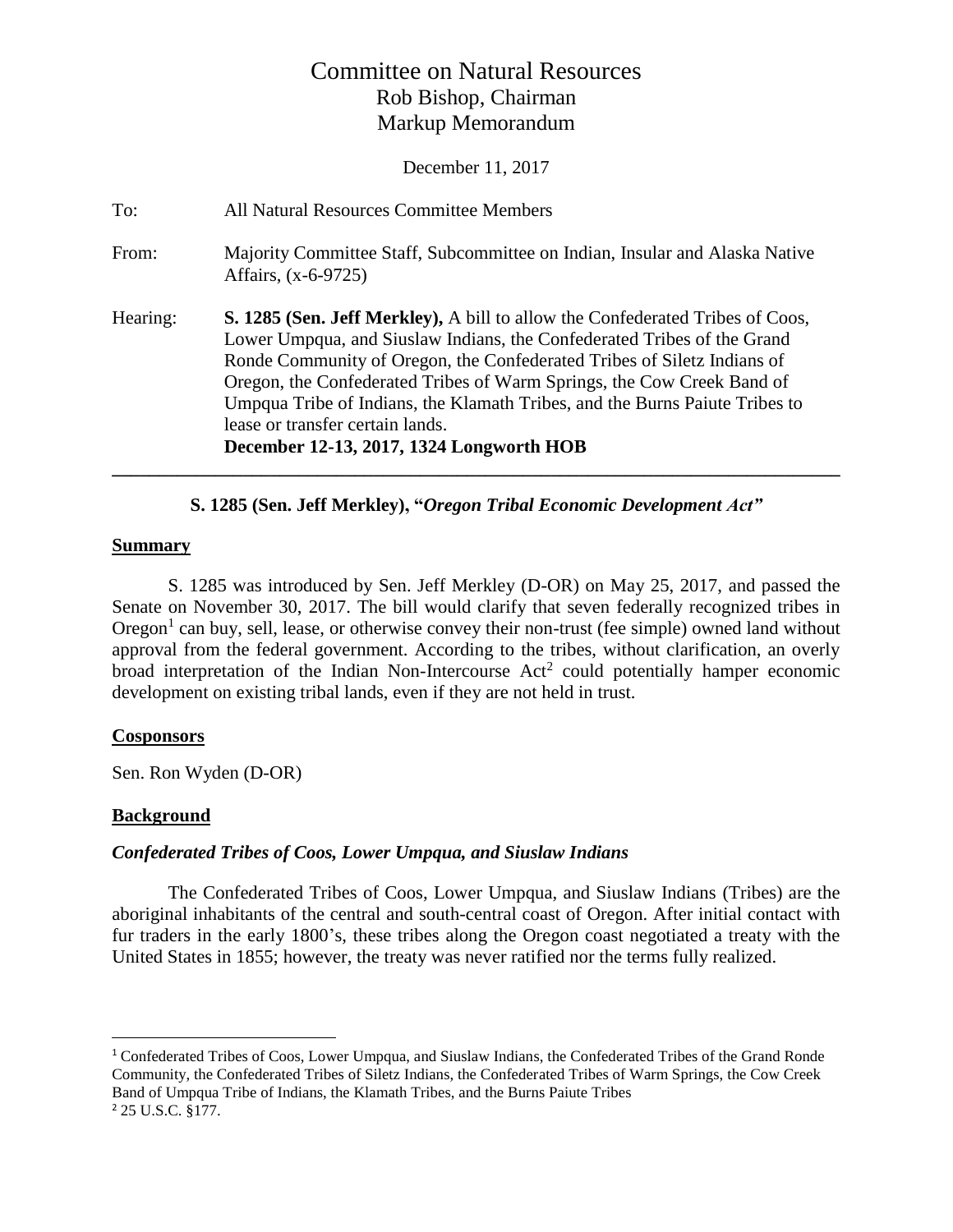# Committee on Natural Resources Rob Bishop, Chairman Markup Memorandum

December 11, 2017

To: All Natural Resources Committee Members From: Majority Committee Staff, Subcommittee on Indian, Insular and Alaska Native Affairs, (x-6-9725) Hearing: **S. 1285 (Sen. Jeff Merkley),** A bill to allow the Confederated Tribes of Coos, Lower Umpqua, and Siuslaw Indians, the Confederated Tribes of the Grand Ronde Community of Oregon, the Confederated Tribes of Siletz Indians of Oregon, the Confederated Tribes of Warm Springs, the Cow Creek Band of Umpqua Tribe of Indians, the Klamath Tribes, and the Burns Paiute Tribes to lease or transfer certain lands. **December 12-13, 2017, 1324 Longworth HOB**

## **S. 1285 (Sen. Jeff Merkley), "***Oregon Tribal Economic Development Act"*

**\_\_\_\_\_\_\_\_\_\_\_\_\_\_\_\_\_\_\_\_\_\_\_\_\_\_\_\_\_\_\_\_\_\_\_\_\_\_\_\_\_\_\_\_\_\_\_\_\_\_\_\_\_\_\_\_\_\_\_\_\_\_\_\_\_\_\_\_\_\_\_\_\_\_\_\_\_\_**

#### **Summary**

S. 1285 was introduced by Sen. Jeff Merkley (D-OR) on May 25, 2017, and passed the Senate on November 30, 2017. The bill would clarify that seven federally recognized tribes in Oregon<sup>1</sup> can buy, sell, lease, or otherwise convey their non-trust (fee simple) owned land without approval from the federal government. According to the tribes, without clarification, an overly broad interpretation of the Indian Non-Intercourse  $Act<sup>2</sup>$  could potentially hamper economic development on existing tribal lands, even if they are not held in trust.

#### **Cosponsors**

Sen. Ron Wyden (D-OR)

#### **Background**

 $\overline{a}$ 

#### *Confederated Tribes of Coos, Lower Umpqua, and Siuslaw Indians*

The Confederated Tribes of Coos, Lower Umpqua, and Siuslaw Indians (Tribes) are the aboriginal inhabitants of the central and south-central coast of Oregon. After initial contact with fur traders in the early 1800's, these tribes along the Oregon coast negotiated a treaty with the United States in 1855; however, the treaty was never ratified nor the terms fully realized.

<sup>1</sup> Confederated Tribes of Coos, Lower Umpqua, and Siuslaw Indians, the Confederated Tribes of the Grand Ronde Community, the Confederated Tribes of Siletz Indians, the Confederated Tribes of Warm Springs, the Cow Creek Band of Umpqua Tribe of Indians, the Klamath Tribes, and the Burns Paiute Tribes <sup>2</sup> 25 U.S.C. §177.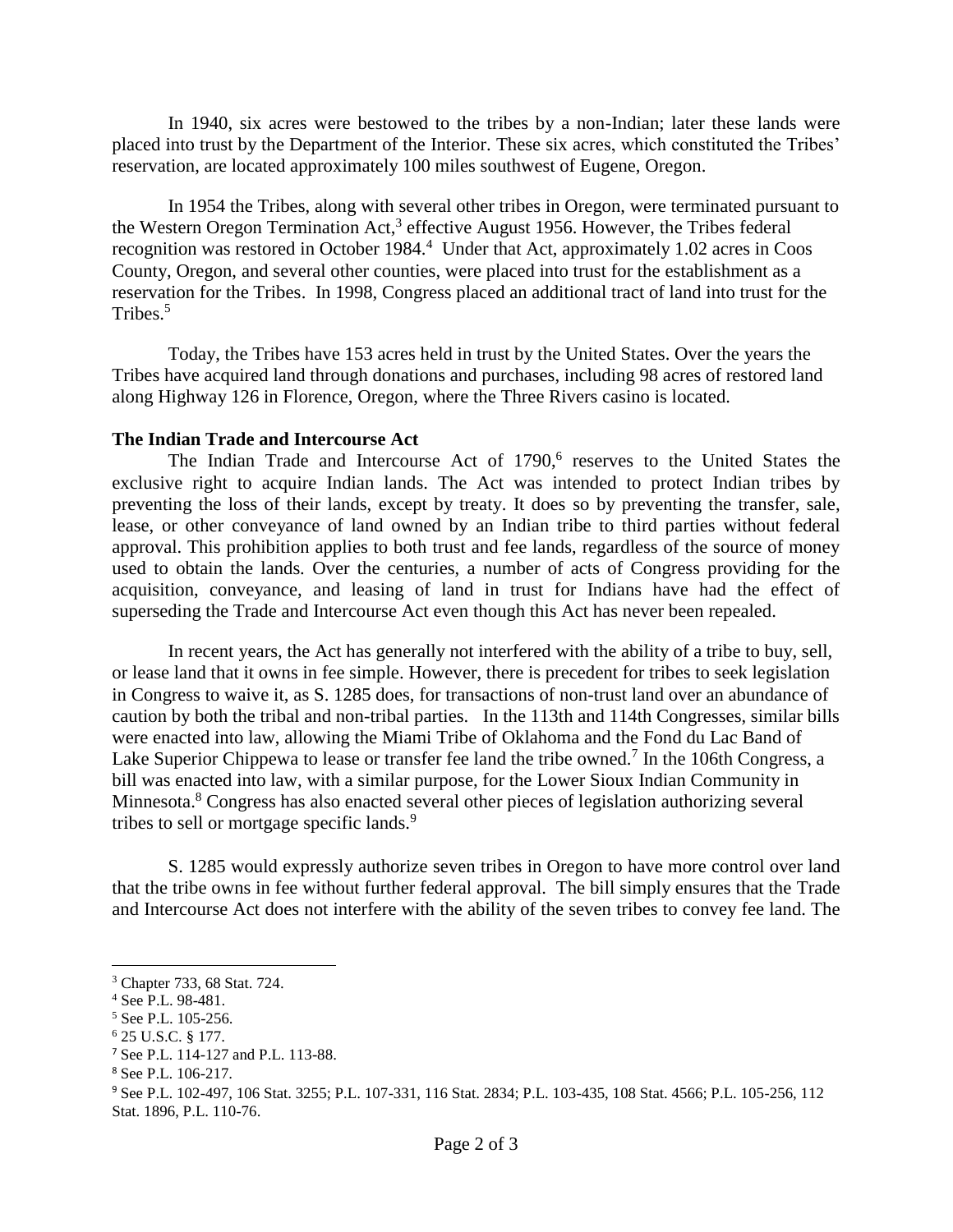In 1940, six acres were bestowed to the tribes by a non-Indian; later these lands were placed into trust by the Department of the Interior. These six acres, which constituted the Tribes' reservation, are located approximately 100 miles southwest of Eugene, Oregon.

In 1954 the Tribes, along with several other tribes in Oregon, were terminated pursuant to the Western Oregon Termination Act,<sup>3</sup> effective August 1956. However, the Tribes federal recognition was restored in October 1984.<sup>4</sup> Under that Act, approximately 1.02 acres in Coos County, Oregon, and several other counties, were placed into trust for the establishment as a reservation for the Tribes. In 1998, Congress placed an additional tract of land into trust for the Tribes. 5

Today, the Tribes have 153 acres held in trust by the United States. Over the years the Tribes have acquired land through donations and purchases, including 98 acres of restored land along Highway 126 in Florence, Oregon, where the Three Rivers casino is located.

#### **The Indian Trade and Intercourse Act**

The Indian Trade and Intercourse Act of 1790,<sup>6</sup> reserves to the United States the exclusive right to acquire Indian lands. The Act was intended to protect Indian tribes by preventing the loss of their lands, except by treaty. It does so by preventing the transfer, sale, lease, or other conveyance of land owned by an Indian tribe to third parties without federal approval. This prohibition applies to both trust and fee lands, regardless of the source of money used to obtain the lands. Over the centuries, a number of acts of Congress providing for the acquisition, conveyance, and leasing of land in trust for Indians have had the effect of superseding the Trade and Intercourse Act even though this Act has never been repealed.

In recent years, the Act has generally not interfered with the ability of a tribe to buy, sell, or lease land that it owns in fee simple. However, there is precedent for tribes to seek legislation in Congress to waive it, as S. 1285 does, for transactions of non-trust land over an abundance of caution by both the tribal and non-tribal parties. In the 113th and 114th Congresses, similar bills were enacted into law, allowing the Miami Tribe of Oklahoma and the Fond du Lac Band of Lake Superior Chippewa to lease or transfer fee land the tribe owned.<sup>7</sup> In the 106th Congress, a bill was enacted into law, with a similar purpose, for the Lower Sioux Indian Community in Minnesota.<sup>8</sup> Congress has also enacted several other pieces of legislation authorizing several tribes to sell or mortgage specific lands.<sup>9</sup>

S. 1285 would expressly authorize seven tribes in Oregon to have more control over land that the tribe owns in fee without further federal approval. The bill simply ensures that the Trade and Intercourse Act does not interfere with the ability of the seven tribes to convey fee land. The

 $\overline{a}$ 

<sup>3</sup> Chapter 733, 68 Stat. 724.

<sup>&</sup>lt;sup>4</sup> See P.L. 98-481.

<sup>5</sup> See P.L. 105-256.

<sup>6</sup> 25 U.S.C. § 177.

<sup>7</sup> See P.L. 114-127 and P.L. 113-88.

<sup>8</sup> See P.L. 106-217.

<sup>9</sup> See P.L. 102-497, 106 Stat. 3255; P.L. 107-331, 116 Stat. 2834; P.L. 103-435, 108 Stat. 4566; P.L. 105-256, 112 Stat. 1896, P.L. 110-76.